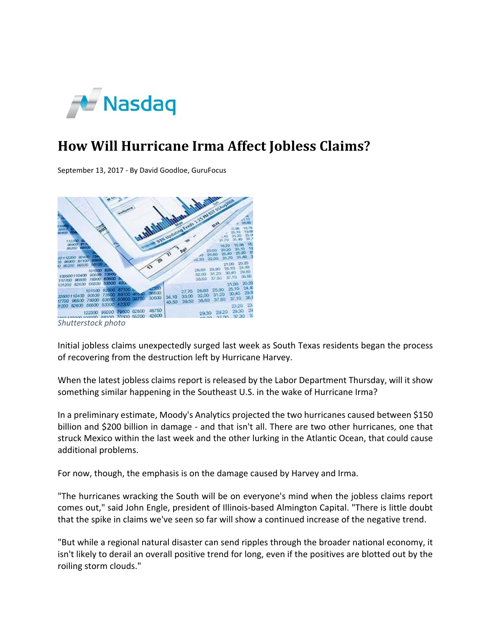

## **How Will Hurricane Irma Affect Jobless Claims?**

September 13, 2017 ‐ By David Goodloe, GuruFocus



Initial jobless claims unexpectedly surged last week as South Texas residents began the process of recovering from the destruction left by Hurricane Harvey.

When the latest jobless claims report is released by the Labor Department Thursday, will it show something similar happening in the Southeast U.S. in the wake of Hurricane Irma?

In a preliminary estimate, Moody's Analytics projected the two hurricanes caused between \$150 billion and \$200 billion in damage ‐ and that isn't all. There are two other hurricanes, one that struck Mexico within the last week and the other lurking in the Atlantic Ocean, that could cause additional problems.

For now, though, the emphasis is on the damage caused by Harvey and Irma.

"The hurricanes wracking the South will be on everyone's mind when the jobless claims report comes out," said John Engle, president of Illinois‐based Almington Capital. "There is little doubt that the spike in claims we've seen so far will show a continued increase of the negative trend.

"But while a regional natural disaster can send ripples through the broader national economy, it isn't likely to derail an overall positive trend for long, even if the positives are blotted out by the roiling storm clouds."